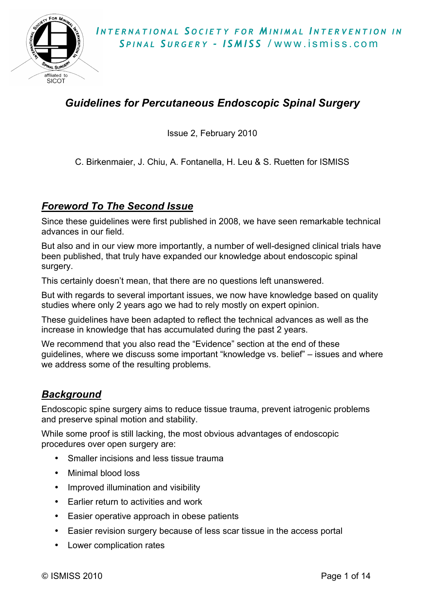# *Guidelines for Percutaneous Endoscopic Spinal Surgery*

Issue 2, February 2010

C. Birkenmaier, J. Chiu, A. Fontanella, H. Leu & S. Ruetten for ISMISS

### *Foreword To The Second Issue*

Since these guidelines were first published in 2008, we have seen remarkable technical advances in our field.

But also and in our view more importantly, a number of well-designed clinical trials have been published, that truly have expanded our knowledge about endoscopic spinal surgery.

This certainly doesn't mean, that there are no questions left unanswered.

But with regards to several important issues, we now have knowledge based on quality studies where only 2 years ago we had to rely mostly on expert opinion.

These guidelines have been adapted to reflect the technical advances as well as the increase in knowledge that has accumulated during the past 2 years.

We recommend that you also read the "Evidence" section at the end of these guidelines, where we discuss some important "knowledge vs. belief" – issues and where we address some of the resulting problems.

## *Background*

Endoscopic spine surgery aims to reduce tissue trauma, prevent iatrogenic problems and preserve spinal motion and stability.

While some proof is still lacking, the most obvious advantages of endoscopic procedures over open surgery are:

- Smaller incisions and less tissue trauma
- Minimal blood loss
- Improved illumination and visibility
- Earlier return to activities and work
- Easier operative approach in obese patients
- Easier revision surgery because of less scar tissue in the access portal
- Lower complication rates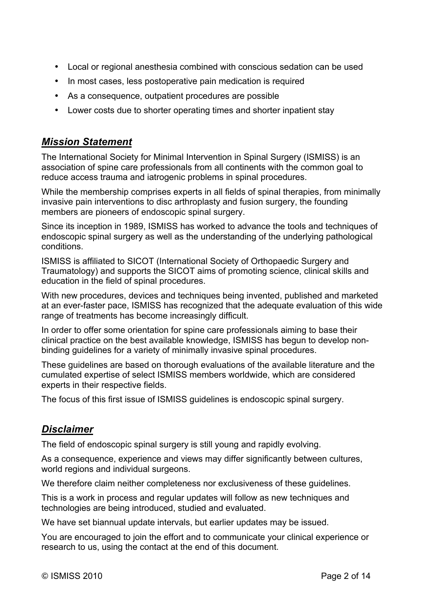- Local or regional anesthesia combined with conscious sedation can be used
- In most cases, less postoperative pain medication is required
- As a consequence, outpatient procedures are possible
- Lower costs due to shorter operating times and shorter inpatient stay

## *Mission Statement*

The International Society for Minimal Intervention in Spinal Surgery (ISMISS) is an association of spine care professionals from all continents with the common goal to reduce access trauma and iatrogenic problems in spinal procedures.

While the membership comprises experts in all fields of spinal therapies, from minimally invasive pain interventions to disc arthroplasty and fusion surgery, the founding members are pioneers of endoscopic spinal surgery.

Since its inception in 1989, ISMISS has worked to advance the tools and techniques of endoscopic spinal surgery as well as the understanding of the underlying pathological conditions.

ISMISS is affiliated to SICOT (International Society of Orthopaedic Surgery and Traumatology) and supports the SICOT aims of promoting science, clinical skills and education in the field of spinal procedures.

With new procedures, devices and techniques being invented, published and marketed at an ever-faster pace, ISMISS has recognized that the adequate evaluation of this wide range of treatments has become increasingly difficult.

In order to offer some orientation for spine care professionals aiming to base their clinical practice on the best available knowledge, ISMISS has begun to develop nonbinding guidelines for a variety of minimally invasive spinal procedures.

These guidelines are based on thorough evaluations of the available literature and the cumulated expertise of select ISMISS members worldwide, which are considered experts in their respective fields.

The focus of this first issue of ISMISS guidelines is endoscopic spinal surgery.

## *Disclaimer*

The field of endoscopic spinal surgery is still young and rapidly evolving.

As a consequence, experience and views may differ significantly between cultures, world regions and individual surgeons.

We therefore claim neither completeness nor exclusiveness of these guidelines.

This is a work in process and regular updates will follow as new techniques and technologies are being introduced, studied and evaluated.

We have set biannual update intervals, but earlier updates may be issued.

You are encouraged to join the effort and to communicate your clinical experience or research to us, using the contact at the end of this document.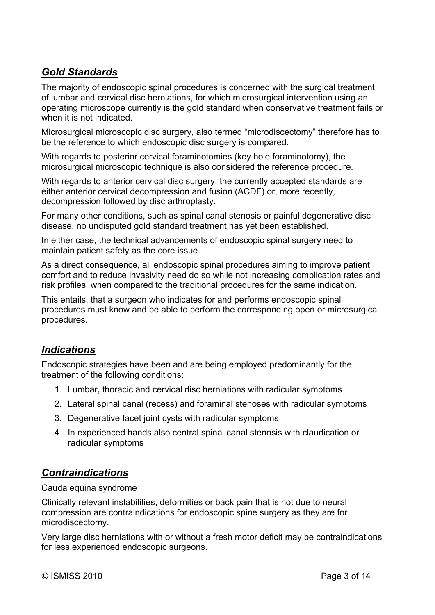## *Gold Standards*

The majority of endoscopic spinal procedures is concerned with the surgical treatment of lumbar and cervical disc herniations, for which microsurgical intervention using an operating microscope currently is the gold standard when conservative treatment fails or when it is not indicated.

Microsurgical microscopic disc surgery, also termed "microdiscectomy" therefore has to be the reference to which endoscopic disc surgery is compared.

With regards to posterior cervical foraminotomies (key hole foraminotomy), the microsurgical microscopic technique is also considered the reference procedure.

With regards to anterior cervical disc surgery, the currently accepted standards are either anterior cervical decompression and fusion (ACDF) or, more recently, decompression followed by disc arthroplasty.

For many other conditions, such as spinal canal stenosis or painful degenerative disc disease, no undisputed gold standard treatment has yet been established.

In either case, the technical advancements of endoscopic spinal surgery need to maintain patient safety as the core issue.

As a direct consequence, all endoscopic spinal procedures aiming to improve patient comfort and to reduce invasivity need do so while not increasing complication rates and risk profiles, when compared to the traditional procedures for the same indication.

This entails, that a surgeon who indicates for and performs endoscopic spinal procedures must know and be able to perform the corresponding open or microsurgical procedures.

## *Indications*

Endoscopic strategies have been and are being employed predominantly for the treatment of the following conditions:

- 1. Lumbar**,** thoracic and cervical disc herniations with radicular symptoms
- 2. Lateral spinal canal (recess) and foraminal stenoses with radicular symptoms
- 3. Degenerative facet joint cysts with radicular symptoms
- 4. In experienced hands also central spinal canal stenosis with claudication or radicular symptoms

## *Contraindications*

Cauda equina syndrome

Clinically relevant instabilities, deformities or back pain that is not due to neural compression are contraindications for endoscopic spine surgery as they are for microdiscectomy.

Very large disc herniations with or without a fresh motor deficit may be contraindications for less experienced endoscopic surgeons.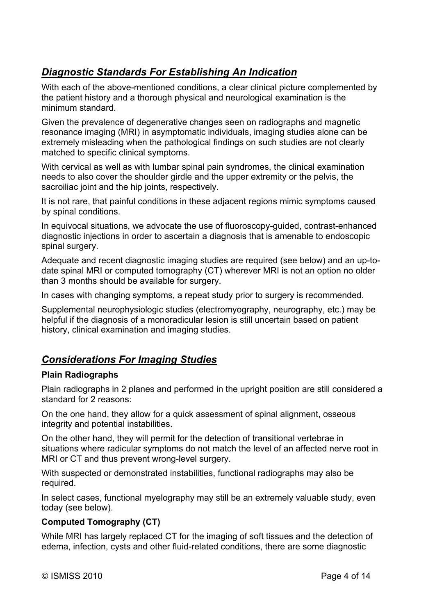# *Diagnostic Standards For Establishing An Indication*

With each of the above-mentioned conditions, a clear clinical picture complemented by the patient history and a thorough physical and neurological examination is the minimum standard.

Given the prevalence of degenerative changes seen on radiographs and magnetic resonance imaging (MRI) in asymptomatic individuals, imaging studies alone can be extremely misleading when the pathological findings on such studies are not clearly matched to specific clinical symptoms.

With cervical as well as with lumbar spinal pain syndromes, the clinical examination needs to also cover the shoulder girdle and the upper extremity or the pelvis, the sacroiliac joint and the hip joints, respectively.

It is not rare, that painful conditions in these adjacent regions mimic symptoms caused by spinal conditions.

In equivocal situations, we advocate the use of fluoroscopy-guided, contrast-enhanced diagnostic injections in order to ascertain a diagnosis that is amenable to endoscopic spinal surgery.

Adequate and recent diagnostic imaging studies are required (see below) and an up-todate spinal MRI or computed tomography (CT) wherever MRI is not an option no older than 3 months should be available for surgery.

In cases with changing symptoms, a repeat study prior to surgery is recommended.

Supplemental neurophysiologic studies (electromyography, neurography, etc.) may be helpful if the diagnosis of a monoradicular lesion is still uncertain based on patient history, clinical examination and imaging studies.

## *Considerations For Imaging Studies*

#### **Plain Radiographs**

Plain radiographs in 2 planes and performed in the upright position are still considered a standard for 2 reasons:

On the one hand, they allow for a quick assessment of spinal alignment, osseous integrity and potential instabilities.

On the other hand, they will permit for the detection of transitional vertebrae in situations where radicular symptoms do not match the level of an affected nerve root in MRI or CT and thus prevent wrong-level surgery.

With suspected or demonstrated instabilities, functional radiographs may also be required.

In select cases, functional myelography may still be an extremely valuable study, even today (see below).

#### **Computed Tomography (CT)**

While MRI has largely replaced CT for the imaging of soft tissues and the detection of edema, infection, cysts and other fluid-related conditions, there are some diagnostic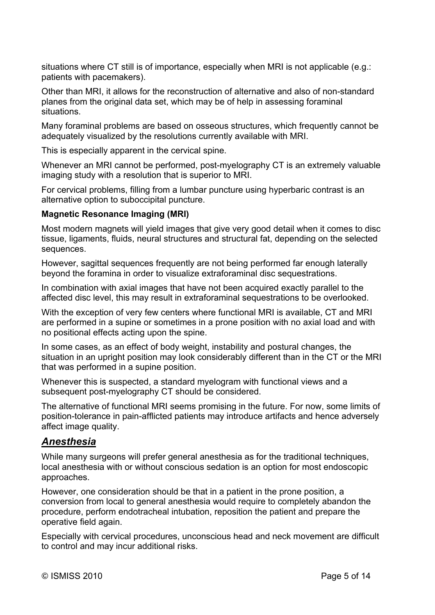situations where CT still is of importance, especially when MRI is not applicable (e.g.: patients with pacemakers).

Other than MRI, it allows for the reconstruction of alternative and also of non-standard planes from the original data set, which may be of help in assessing foraminal situations.

Many foraminal problems are based on osseous structures, which frequently cannot be adequately visualized by the resolutions currently available with MRI.

This is especially apparent in the cervical spine.

Whenever an MRI cannot be performed, post-myelography CT is an extremely valuable imaging study with a resolution that is superior to MRI.

For cervical problems, filling from a lumbar puncture using hyperbaric contrast is an alternative option to suboccipital puncture.

#### **Magnetic Resonance Imaging (MRI)**

Most modern magnets will yield images that give very good detail when it comes to disc tissue, ligaments, fluids, neural structures and structural fat, depending on the selected sequences.

However, sagittal sequences frequently are not being performed far enough laterally beyond the foramina in order to visualize extraforaminal disc sequestrations.

In combination with axial images that have not been acquired exactly parallel to the affected disc level, this may result in extraforaminal sequestrations to be overlooked.

With the exception of very few centers where functional MRI is available, CT and MRI are performed in a supine or sometimes in a prone position with no axial load and with no positional effects acting upon the spine.

In some cases, as an effect of body weight, instability and postural changes, the situation in an upright position may look considerably different than in the CT or the MRI that was performed in a supine position.

Whenever this is suspected, a standard myelogram with functional views and a subsequent post-myelography CT should be considered.

The alternative of functional MRI seems promising in the future. For now, some limits of position-tolerance in pain-afflicted patients may introduce artifacts and hence adversely affect image quality.

### *Anesthesia*

While many surgeons will prefer general anesthesia as for the traditional techniques, local anesthesia with or without conscious sedation is an option for most endoscopic approaches.

However, one consideration should be that in a patient in the prone position, a conversion from local to general anesthesia would require to completely abandon the procedure, perform endotracheal intubation, reposition the patient and prepare the operative field again.

Especially with cervical procedures, unconscious head and neck movement are difficult to control and may incur additional risks.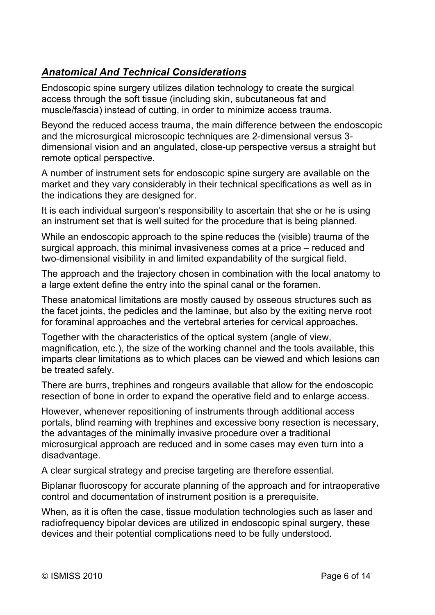# *Anatomical And Technical Considerations*

Endoscopic spine surgery utilizes dilation technology to create the surgical access through the soft tissue (including skin, subcutaneous fat and muscle/fascia) instead of cutting, in order to minimize access trauma.

Beyond the reduced access trauma, the main difference between the endoscopic and the microsurgical microscopic techniques are 2-dimensional versus 3 dimensional vision and an angulated, close-up perspective versus a straight but remote optical perspective.

A number of instrument sets for endoscopic spine surgery are available on the market and they vary considerably in their technical specifications as well as in the indications they are designed for.

It is each individual surgeon's responsibility to ascertain that she or he is using an instrument set that is well suited for the procedure that is being planned.

While an endoscopic approach to the spine reduces the (visible) trauma of the surgical approach, this minimal invasiveness comes at a price – reduced and two-dimensional visibility in and limited expandability of the surgical field.

The approach and the trajectory chosen in combination with the local anatomy to a large extent define the entry into the spinal canal or the foramen.

These anatomical limitations are mostly caused by osseous structures such as the facet joints, the pedicles and the laminae, but also by the exiting nerve root for foraminal approaches and the vertebral arteries for cervical approaches.

Together with the characteristics of the optical system (angle of view, magnification, etc.), the size of the working channel and the tools available, this imparts clear limitations as to which places can be viewed and which lesions can be treated safely.

There are burrs, trephines and rongeurs available that allow for the endoscopic resection of bone in order to expand the operative field and to enlarge access.

However, whenever repositioning of instruments through additional access portals, blind reaming with trephines and excessive bony resection is necessary, the advantages of the minimally invasive procedure over a traditional microsurgical approach are reduced and in some cases may even turn into a disadvantage.

A clear surgical strategy and precise targeting are therefore essential.

Biplanar fluoroscopy for accurate planning of the approach and for intraoperative control and documentation of instrument position is a prerequisite.

When, as it is often the case, tissue modulation technologies such as laser and radiofrequency bipolar devices are utilized in endoscopic spinal surgery, these devices and their potential complications need to be fully understood.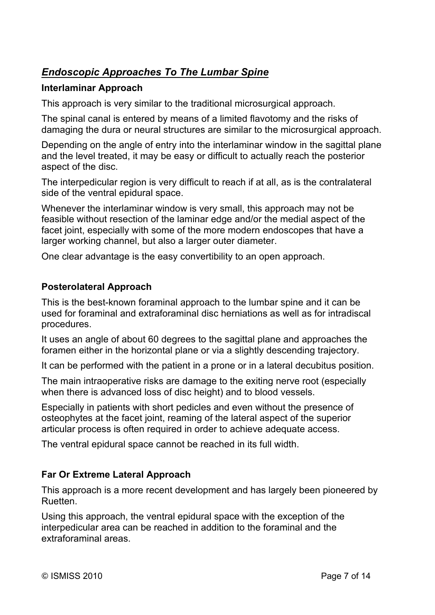# *Endoscopic Approaches To The Lumbar Spine*

### **Interlaminar Approach**

This approach is very similar to the traditional microsurgical approach.

The spinal canal is entered by means of a limited flavotomy and the risks of damaging the dura or neural structures are similar to the microsurgical approach.

Depending on the angle of entry into the interlaminar window in the sagittal plane and the level treated, it may be easy or difficult to actually reach the posterior aspect of the disc.

The interpedicular region is very difficult to reach if at all, as is the contralateral side of the ventral epidural space.

Whenever the interlaminar window is very small, this approach may not be feasible without resection of the laminar edge and/or the medial aspect of the facet joint, especially with some of the more modern endoscopes that have a larger working channel, but also a larger outer diameter.

One clear advantage is the easy convertibility to an open approach.

#### **Posterolateral Approach**

This is the best-known foraminal approach to the lumbar spine and it can be used for foraminal and extraforaminal disc herniations as well as for intradiscal procedures.

It uses an angle of about 60 degrees to the sagittal plane and approaches the foramen either in the horizontal plane or via a slightly descending trajectory.

It can be performed with the patient in a prone or in a lateral decubitus position.

The main intraoperative risks are damage to the exiting nerve root (especially when there is advanced loss of disc height) and to blood vessels.

Especially in patients with short pedicles and even without the presence of osteophytes at the facet joint, reaming of the lateral aspect of the superior articular process is often required in order to achieve adequate access.

The ventral epidural space cannot be reached in its full width.

### **Far Or Extreme Lateral Approach**

This approach is a more recent development and has largely been pioneered by Ruetten.

Using this approach, the ventral epidural space with the exception of the interpedicular area can be reached in addition to the foraminal and the extraforaminal areas.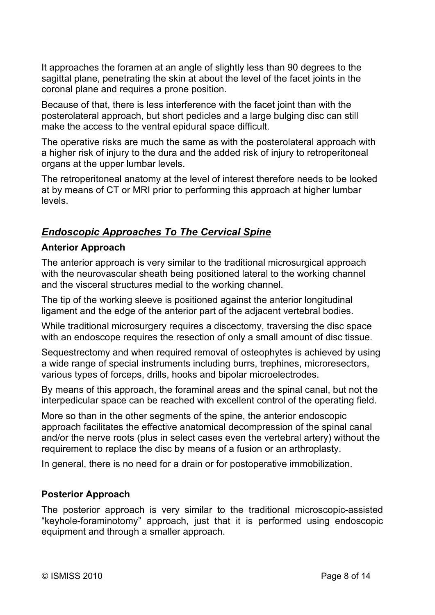It approaches the foramen at an angle of slightly less than 90 degrees to the sagittal plane, penetrating the skin at about the level of the facet joints in the coronal plane and requires a prone position.

Because of that, there is less interference with the facet joint than with the posterolateral approach, but short pedicles and a large bulging disc can still make the access to the ventral epidural space difficult.

The operative risks are much the same as with the posterolateral approach with a higher risk of injury to the dura and the added risk of injury to retroperitoneal organs at the upper lumbar levels.

The retroperitoneal anatomy at the level of interest therefore needs to be looked at by means of CT or MRI prior to performing this approach at higher lumbar levels.

## *Endoscopic Approaches To The Cervical Spine*

#### **Anterior Approach**

The anterior approach is very similar to the traditional microsurgical approach with the neurovascular sheath being positioned lateral to the working channel and the visceral structures medial to the working channel.

The tip of the working sleeve is positioned against the anterior longitudinal ligament and the edge of the anterior part of the adjacent vertebral bodies.

While traditional microsurgery requires a discectomy, traversing the disc space with an endoscope requires the resection of only a small amount of disc tissue.

Sequestrectomy and when required removal of osteophytes is achieved by using a wide range of special instruments including burrs, trephines, microresectors, various types of forceps, drills, hooks and bipolar microelectrodes.

By means of this approach, the foraminal areas and the spinal canal, but not the interpedicular space can be reached with excellent control of the operating field.

More so than in the other segments of the spine, the anterior endoscopic approach facilitates the effective anatomical decompression of the spinal canal and/or the nerve roots (plus in select cases even the vertebral artery) without the requirement to replace the disc by means of a fusion or an arthroplasty.

In general, there is no need for a drain or for postoperative immobilization.

### **Posterior Approach**

The posterior approach is very similar to the traditional microscopic-assisted "keyhole-foraminotomy" approach, just that it is performed using endoscopic equipment and through a smaller approach.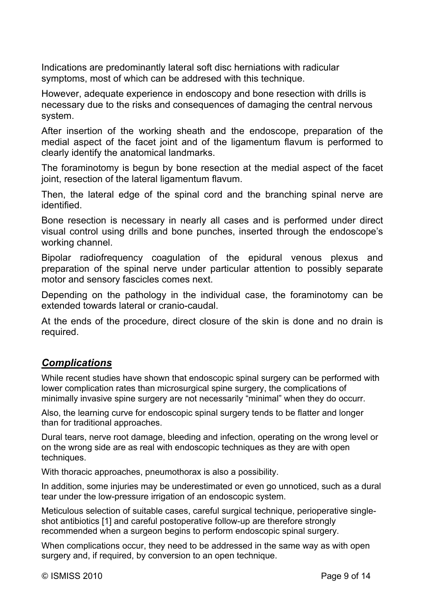Indications are predominantly lateral soft disc herniations with radicular symptoms, most of which can be addresed with this technique.

However, adequate experience in endoscopy and bone resection with drills is necessary due to the risks and consequences of damaging the central nervous system.

After insertion of the working sheath and the endoscope, preparation of the medial aspect of the facet joint and of the ligamentum flavum is performed to clearly identify the anatomical landmarks.

The foraminotomy is begun by bone resection at the medial aspect of the facet joint, resection of the lateral ligamentum flavum.

Then, the lateral edge of the spinal cord and the branching spinal nerve are identified.

Bone resection is necessary in nearly all cases and is performed under direct visual control using drills and bone punches, inserted through the endoscope's working channel.

Bipolar radiofrequency coagulation of the epidural venous plexus and preparation of the spinal nerve under particular attention to possibly separate motor and sensory fascicles comes next.

Depending on the pathology in the individual case, the foraminotomy can be extended towards lateral or cranio-caudal.

At the ends of the procedure, direct closure of the skin is done and no drain is required.

## *Complications*

While recent studies have shown that endoscopic spinal surgery can be performed with lower complication rates than microsurgical spine surgery, the complications of minimally invasive spine surgery are not necessarily "minimal" when they do occurr.

Also, the learning curve for endoscopic spinal surgery tends to be flatter and longer than for traditional approaches.

Dural tears, nerve root damage, bleeding and infection, operating on the wrong level or on the wrong side are as real with endoscopic techniques as they are with open techniques.

With thoracic approaches, pneumothorax is also a possibility.

In addition, some injuries may be underestimated or even go unnoticed, such as a dural tear under the low-pressure irrigation of an endoscopic system.

Meticulous selection of suitable cases, careful surgical technique, perioperative singleshot antibiotics [1] and careful postoperative follow-up are therefore strongly recommended when a surgeon begins to perform endoscopic spinal surgery.

When complications occur, they need to be addressed in the same way as with open surgery and, if required, by conversion to an open technique.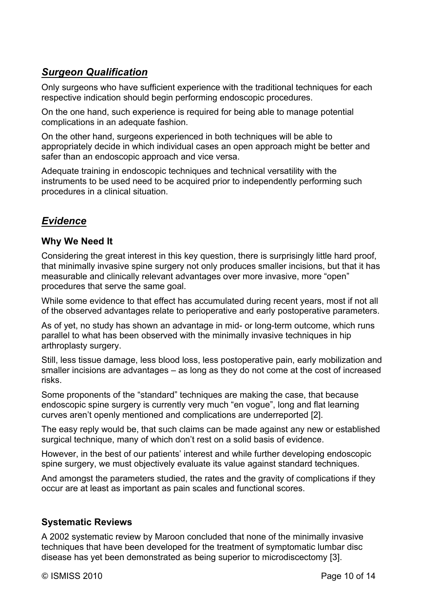# *Surgeon Qualification*

Only surgeons who have sufficient experience with the traditional techniques for each respective indication should begin performing endoscopic procedures.

On the one hand, such experience is required for being able to manage potential complications in an adequate fashion.

On the other hand, surgeons experienced in both techniques will be able to appropriately decide in which individual cases an open approach might be better and safer than an endoscopic approach and vice versa.

Adequate training in endoscopic techniques and technical versatility with the instruments to be used need to be acquired prior to independently performing such procedures in a clinical situation.

# *Evidence*

### **Why We Need It**

Considering the great interest in this key question, there is surprisingly little hard proof, that minimally invasive spine surgery not only produces smaller incisions, but that it has measurable and clinically relevant advantages over more invasive, more "open" procedures that serve the same goal.

While some evidence to that effect has accumulated during recent years, most if not all of the observed advantages relate to perioperative and early postoperative parameters.

As of yet, no study has shown an advantage in mid- or long-term outcome, which runs parallel to what has been observed with the minimally invasive techniques in hip arthroplasty surgery.

Still, less tissue damage, less blood loss, less postoperative pain, early mobilization and smaller incisions are advantages – as long as they do not come at the cost of increased risks.

Some proponents of the "standard" techniques are making the case, that because endoscopic spine surgery is currently very much "en vogue", long and flat learning curves aren't openly mentioned and complications are underreported [2].

The easy reply would be, that such claims can be made against any new or established surgical technique, many of which don't rest on a solid basis of evidence.

However, in the best of our patients' interest and while further developing endoscopic spine surgery, we must objectively evaluate its value against standard techniques.

And amongst the parameters studied, the rates and the gravity of complications if they occur are at least as important as pain scales and functional scores.

### **Systematic Reviews**

A 2002 systematic review by Maroon concluded that none of the minimally invasive techniques that have been developed for the treatment of symptomatic lumbar disc disease has yet been demonstrated as being superior to microdiscectomy [3].

© ISMISS 2010 **Page 10 of 14**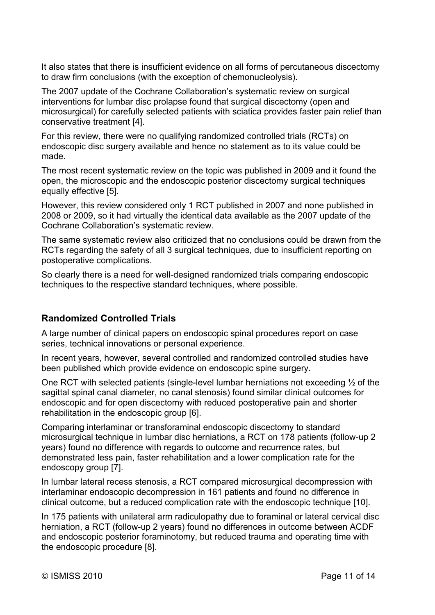It also states that there is insufficient evidence on all forms of percutaneous discectomy to draw firm conclusions (with the exception of chemonucleolysis).

The 2007 update of the Cochrane Collaboration's systematic review on surgical interventions for lumbar disc prolapse found that surgical discectomy (open and microsurgical) for carefully selected patients with sciatica provides faster pain relief than conservative treatment [4].

For this review, there were no qualifying randomized controlled trials (RCTs) on endoscopic disc surgery available and hence no statement as to its value could be made.

The most recent systematic review on the topic was published in 2009 and it found the open, the microscopic and the endoscopic posterior discectomy surgical techniques equally effective [5].

However, this review considered only 1 RCT published in 2007 and none published in 2008 or 2009, so it had virtually the identical data available as the 2007 update of the Cochrane Collaboration's systematic review.

The same systematic review also criticized that no conclusions could be drawn from the RCTs regarding the safety of all 3 surgical techniques, due to insufficient reporting on postoperative complications.

So clearly there is a need for well-designed randomized trials comparing endoscopic techniques to the respective standard techniques, where possible.

#### **Randomized Controlled Trials**

A large number of clinical papers on endoscopic spinal procedures report on case series, technical innovations or personal experience.

In recent years, however, several controlled and randomized controlled studies have been published which provide evidence on endoscopic spine surgery.

One RCT with selected patients (single-level lumbar herniations not exceeding ½ of the sagittal spinal canal diameter, no canal stenosis) found similar clinical outcomes for endoscopic and for open discectomy with reduced postoperative pain and shorter rehabilitation in the endoscopic group [6].

Comparing interlaminar or transforaminal endoscopic discectomy to standard microsurgical technique in lumbar disc herniations, a RCT on 178 patients (follow-up 2 years) found no difference with regards to outcome and recurrence rates, but demonstrated less pain, faster rehabilitation and a lower complication rate for the endoscopy group [7].

In lumbar lateral recess stenosis, a RCT compared microsurgical decompression with interlaminar endoscopic decompression in 161 patients and found no difference in clinical outcome, but a reduced complication rate with the endoscopic technique [10].

In 175 patients with unilateral arm radiculopathy due to foraminal or lateral cervical disc herniation, a RCT (follow-up 2 years) found no differences in outcome between ACDF and endoscopic posterior foraminotomy, but reduced trauma and operating time with the endoscopic procedure [8].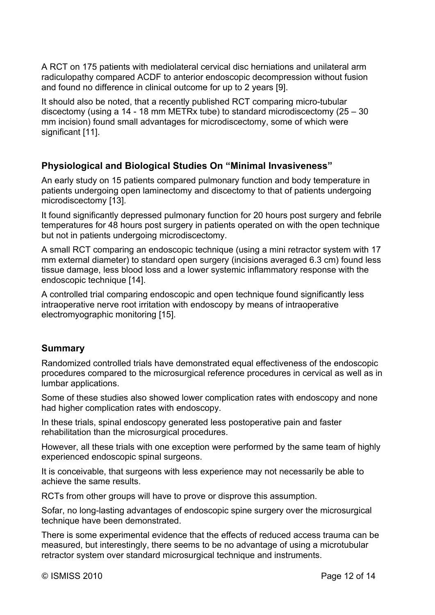A RCT on 175 patients with mediolateral cervical disc herniations and unilateral arm radiculopathy compared ACDF to anterior endoscopic decompression without fusion and found no difference in clinical outcome for up to 2 years [9].

It should also be noted, that a recently published RCT comparing micro-tubular discectomy (using a 14 - 18 mm METRx tube) to standard microdiscectomy (25 – 30 mm incision) found small advantages for microdiscectomy, some of which were significant [11].

#### **Physiological and Biological Studies On "Minimal Invasiveness"**

An early study on 15 patients compared pulmonary function and body temperature in patients undergoing open laminectomy and discectomy to that of patients undergoing microdiscectomy [13].

It found significantly depressed pulmonary function for 20 hours post surgery and febrile temperatures for 48 hours post surgery in patients operated on with the open technique but not in patients undergoing microdiscectomy.

A small RCT comparing an endoscopic technique (using a mini retractor system with 17 mm external diameter) to standard open surgery (incisions averaged 6.3 cm) found less tissue damage, less blood loss and a lower systemic inflammatory response with the endoscopic technique [14].

A controlled trial comparing endoscopic and open technique found significantly less intraoperative nerve root irritation with endoscopy by means of intraoperative electromyographic monitoring [15].

#### **Summary**

Randomized controlled trials have demonstrated equal effectiveness of the endoscopic procedures compared to the microsurgical reference procedures in cervical as well as in lumbar applications.

Some of these studies also showed lower complication rates with endoscopy and none had higher complication rates with endoscopy.

In these trials, spinal endoscopy generated less postoperative pain and faster rehabilitation than the microsurgical procedures.

However, all these trials with one exception were performed by the same team of highly experienced endoscopic spinal surgeons.

It is conceivable, that surgeons with less experience may not necessarily be able to achieve the same results.

RCTs from other groups will have to prove or disprove this assumption.

Sofar, no long-lasting advantages of endoscopic spine surgery over the microsurgical technique have been demonstrated.

There is some experimental evidence that the effects of reduced access trauma can be measured, but interestingly, there seems to be no advantage of using a microtubular retractor system over standard microsurgical technique and instruments.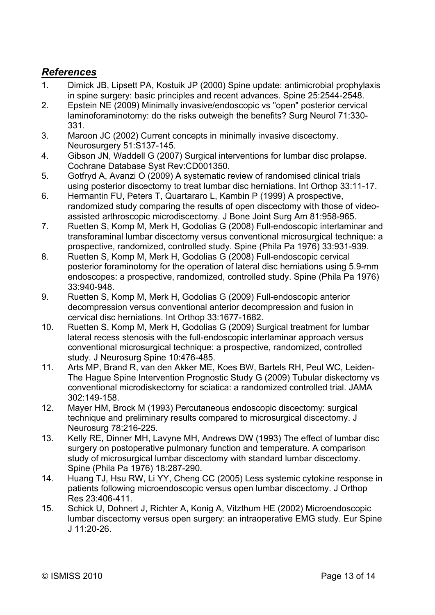## *References*

- 1. Dimick JB, Lipsett PA, Kostuik JP (2000) Spine update: antimicrobial prophylaxis in spine surgery: basic principles and recent advances. Spine 25:2544-2548.
- 2. Epstein NE (2009) Minimally invasive/endoscopic vs "open" posterior cervical laminoforaminotomy: do the risks outweigh the benefits? Surg Neurol 71:330- 331.
- 3. Maroon JC (2002) Current concepts in minimally invasive discectomy. Neurosurgery 51:S137-145.
- 4. Gibson JN, Waddell G (2007) Surgical interventions for lumbar disc prolapse. Cochrane Database Syst Rev:CD001350.
- 5. Gotfryd A, Avanzi O (2009) A systematic review of randomised clinical trials using posterior discectomy to treat lumbar disc herniations. Int Orthop 33:11-17.
- 6. Hermantin FU, Peters T, Quartararo L, Kambin P (1999) A prospective, randomized study comparing the results of open discectomy with those of videoassisted arthroscopic microdiscectomy. J Bone Joint Surg Am 81:958-965.
- 7. Ruetten S, Komp M, Merk H, Godolias G (2008) Full-endoscopic interlaminar and transforaminal lumbar discectomy versus conventional microsurgical technique: a prospective, randomized, controlled study. Spine (Phila Pa 1976) 33:931-939.
- 8. Ruetten S, Komp M, Merk H, Godolias G (2008) Full-endoscopic cervical posterior foraminotomy for the operation of lateral disc herniations using 5.9-mm endoscopes: a prospective, randomized, controlled study. Spine (Phila Pa 1976) 33:940-948.
- 9. Ruetten S, Komp M, Merk H, Godolias G (2009) Full-endoscopic anterior decompression versus conventional anterior decompression and fusion in cervical disc herniations. Int Orthop 33:1677-1682.
- 10. Ruetten S, Komp M, Merk H, Godolias G (2009) Surgical treatment for lumbar lateral recess stenosis with the full-endoscopic interlaminar approach versus conventional microsurgical technique: a prospective, randomized, controlled study. J Neurosurg Spine 10:476-485.
- 11. Arts MP, Brand R, van den Akker ME, Koes BW, Bartels RH, Peul WC, Leiden-The Hague Spine Intervention Prognostic Study G (2009) Tubular diskectomy vs conventional microdiskectomy for sciatica: a randomized controlled trial. JAMA 302:149-158.
- 12. Mayer HM, Brock M (1993) Percutaneous endoscopic discectomy: surgical technique and preliminary results compared to microsurgical discectomy. J Neurosurg 78:216-225.
- 13. Kelly RE, Dinner MH, Lavyne MH, Andrews DW (1993) The effect of lumbar disc surgery on postoperative pulmonary function and temperature. A comparison study of microsurgical lumbar discectomy with standard lumbar discectomy. Spine (Phila Pa 1976) 18:287-290.
- 14. Huang TJ, Hsu RW, Li YY, Cheng CC (2005) Less systemic cytokine response in patients following microendoscopic versus open lumbar discectomy. J Orthop Res 23:406-411.
- 15. Schick U, Dohnert J, Richter A, Konig A, Vitzthum HE (2002) Microendoscopic lumbar discectomy versus open surgery: an intraoperative EMG study. Eur Spine J 11:20-26.